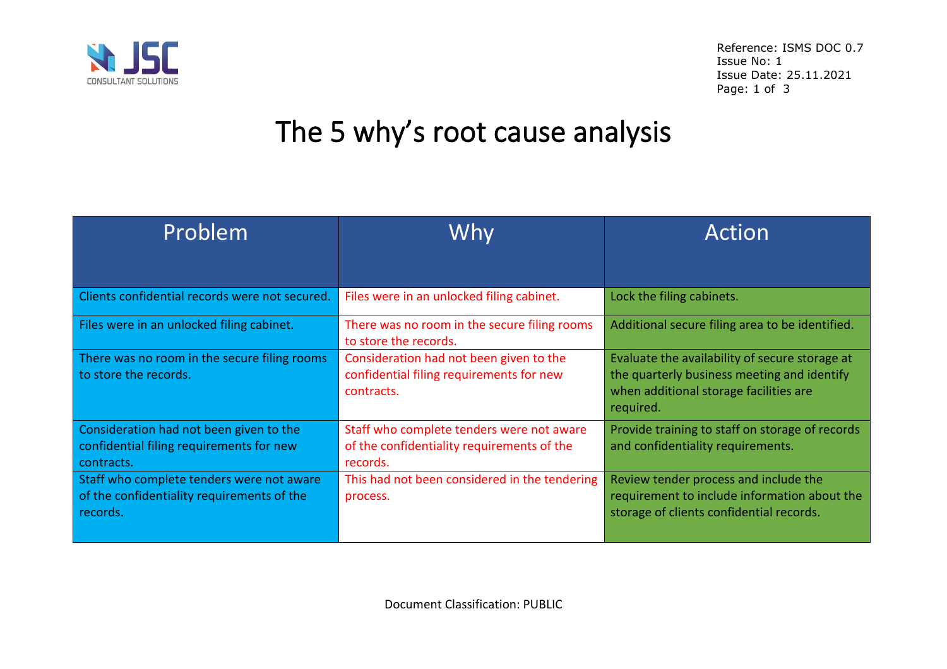

# The 5 why's root cause analysis

| Problem                                                                                             | Why                                                                                                 | Action                                                                                                                                               |  |
|-----------------------------------------------------------------------------------------------------|-----------------------------------------------------------------------------------------------------|------------------------------------------------------------------------------------------------------------------------------------------------------|--|
|                                                                                                     |                                                                                                     |                                                                                                                                                      |  |
| Clients confidential records were not secured.                                                      | Files were in an unlocked filing cabinet.                                                           | Lock the filing cabinets.                                                                                                                            |  |
| Files were in an unlocked filing cabinet.                                                           | There was no room in the secure filing rooms<br>to store the records.                               | Additional secure filing area to be identified.                                                                                                      |  |
| There was no room in the secure filing rooms<br>to store the records.                               | Consideration had not been given to the<br>confidential filing requirements for new<br>contracts.   | Evaluate the availability of secure storage at<br>the quarterly business meeting and identify<br>when additional storage facilities are<br>required. |  |
| Consideration had not been given to the<br>confidential filing requirements for new<br>contracts.   | Staff who complete tenders were not aware<br>of the confidentiality requirements of the<br>records. | Provide training to staff on storage of records<br>and confidentiality requirements.                                                                 |  |
| Staff who complete tenders were not aware<br>of the confidentiality requirements of the<br>records. | This had not been considered in the tendering<br>process.                                           | Review tender process and include the<br>requirement to include information about the<br>storage of clients confidential records.                    |  |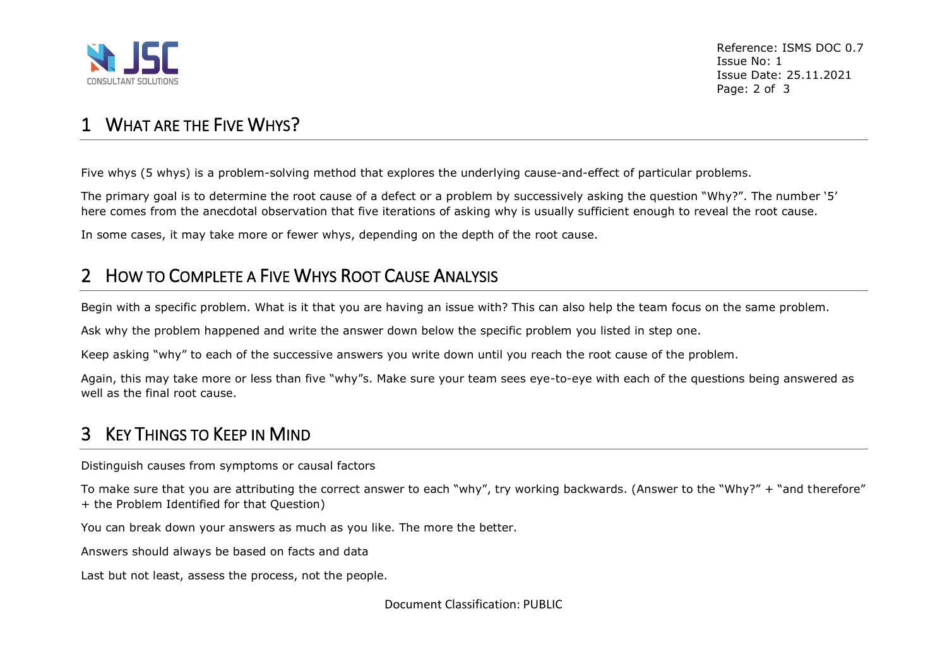

#### 1 WHAT ARF THE FIVE WHYS?

Five whys (5 whys) is a problem-solving method that explores the underlying cause-and-effect of particular problems.

The primary goal is to determine the root cause of a defect or a problem by successively asking the question "Why?". The number '5' here comes from the anecdotal observation that five iterations of asking why is usually sufficient enough to reveal the root cause.

In some cases, it may take more or fewer whys, depending on the depth of the root cause.

### 2 HOW TO COMPLETE A FIVE WHYS ROOT CAUSE ANALYSIS

Begin with a specific problem. What is it that you are having an issue with? This can also help the team focus on the same problem.

Ask why the problem happened and write the answer down below the specific problem you listed in step one.

Keep asking "why" to each of the successive answers you write down until you reach the root cause of the problem.

Again, this may take more or less than five "why"s. Make sure your team sees eye-to-eye with each of the questions being answered as well as the final root cause.

# 3 KEY THINGS TO KEEP IN MIND

Distinguish causes from symptoms or causal factors

To make sure that you are attributing the correct answer to each "why", try working backwards. (Answer to the "Why?" + "and therefore" + the Problem Identified for that Question)

You can break down your answers as much as you like. The more the better.

Answers should always be based on facts and data

Last but not least, assess the process, not the people.

Document Classification: PUBLIC